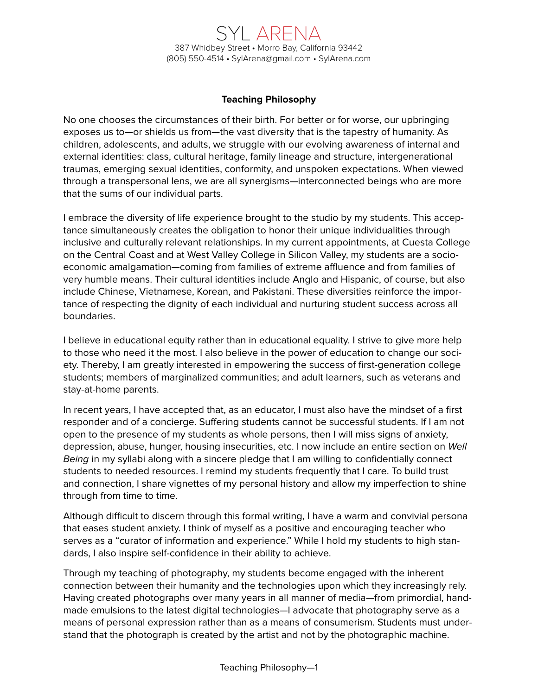YI ARFNA 387 Whidbey Street • Morro Bay, California 93442 (805) 550-4514 • SylArena@gmail.com • SylArena.com

## **Teaching Philosophy**

No one chooses the circumstances of their birth. For better or for worse, our upbringing exposes us to—or shields us from—the vast diversity that is the tapestry of humanity. As children, adolescents, and adults, we struggle with our evolving awareness of internal and external identities: class, cultural heritage, family lineage and structure, intergenerational traumas, emerging sexual identities, conformity, and unspoken expectations. When viewed through a transpersonal lens, we are all synergisms—interconnected beings who are more that the sums of our individual parts.

I embrace the diversity of life experience brought to the studio by my students. This acceptance simultaneously creates the obligation to honor their unique individualities through inclusive and culturally relevant relationships. In my current appointments, at Cuesta College on the Central Coast and at West Valley College in Silicon Valley, my students are a socioeconomic amalgamation—coming from families of extreme affluence and from families of very humble means. Their cultural identities include Anglo and Hispanic, of course, but also include Chinese, Vietnamese, Korean, and Pakistani. These diversities reinforce the importance of respecting the dignity of each individual and nurturing student success across all boundaries.

I believe in educational equity rather than in educational equality. I strive to give more help to those who need it the most. I also believe in the power of education to change our society. Thereby, I am greatly interested in empowering the success of first-generation college students; members of marginalized communities; and adult learners, such as veterans and stay-at-home parents.

In recent years, I have accepted that, as an educator, I must also have the mindset of a first responder and of a concierge. Suffering students cannot be successful students. If I am not open to the presence of my students as whole persons, then I will miss signs of anxiety, depression, abuse, hunger, housing insecurities, etc. I now include an entire section on Well Being in my syllabi along with a sincere pledge that I am willing to confidentially connect students to needed resources. I remind my students frequently that I care. To build trust and connection, I share vignettes of my personal history and allow my imperfection to shine through from time to time.

Although difficult to discern through this formal writing, I have a warm and convivial persona that eases student anxiety. I think of myself as a positive and encouraging teacher who serves as a "curator of information and experience." While I hold my students to high standards, I also inspire self-confidence in their ability to achieve.

Through my teaching of photography, my students become engaged with the inherent connection between their humanity and the technologies upon which they increasingly rely. Having created photographs over many years in all manner of media—from primordial, handmade emulsions to the latest digital technologies—I advocate that photography serve as a means of personal expression rather than as a means of consumerism. Students must understand that the photograph is created by the artist and not by the photographic machine.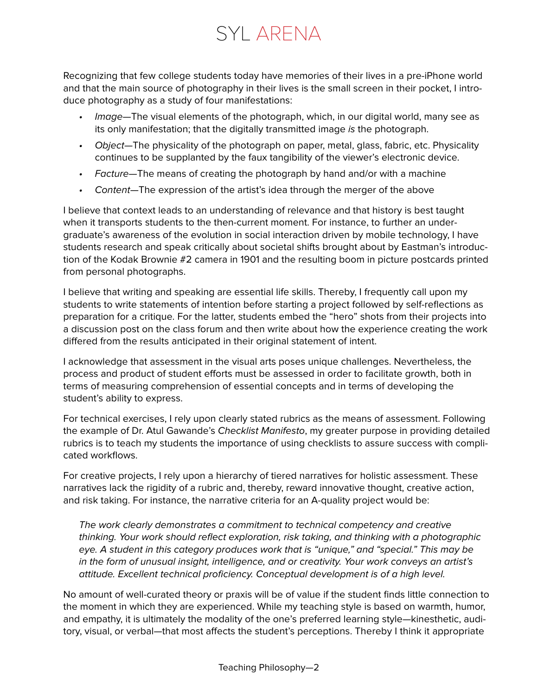## SYL ARENA

Recognizing that few college students today have memories of their lives in a pre-iPhone world and that the main source of photography in their lives is the small screen in their pocket, I introduce photography as a study of four manifestations:

- Image—The visual elements of the photograph, which, in our digital world, many see as its only manifestation; that the digitally transmitted image is the photograph.
- Object—The physicality of the photograph on paper, metal, glass, fabric, etc. Physicality continues to be supplanted by the faux tangibility of the viewer's electronic device.
- Facture—The means of creating the photograph by hand and/or with a machine
- Content—The expression of the artist's idea through the merger of the above

I believe that context leads to an understanding of relevance and that history is best taught when it transports students to the then-current moment. For instance, to further an undergraduate's awareness of the evolution in social interaction driven by mobile technology, I have students research and speak critically about societal shifts brought about by Eastman's introduction of the Kodak Brownie #2 camera in 1901 and the resulting boom in picture postcards printed from personal photographs.

I believe that writing and speaking are essential life skills. Thereby, I frequently call upon my students to write statements of intention before starting a project followed by self-reflections as preparation for a critique. For the latter, students embed the "hero" shots from their projects into a discussion post on the class forum and then write about how the experience creating the work differed from the results anticipated in their original statement of intent.

I acknowledge that assessment in the visual arts poses unique challenges. Nevertheless, the process and product of student efforts must be assessed in order to facilitate growth, both in terms of measuring comprehension of essential concepts and in terms of developing the student's ability to express.

For technical exercises, I rely upon clearly stated rubrics as the means of assessment. Following the example of Dr. Atul Gawande's Checklist Manifesto, my greater purpose in providing detailed rubrics is to teach my students the importance of using checklists to assure success with complicated workflows.

For creative projects, I rely upon a hierarchy of tiered narratives for holistic assessment. These narratives lack the rigidity of a rubric and, thereby, reward innovative thought, creative action, and risk taking. For instance, the narrative criteria for an A-quality project would be:

The work clearly demonstrates a commitment to technical competency and creative thinking. Your work should reflect exploration, risk taking, and thinking with a photographic eye. A student in this category produces work that is "unique," and "special." This may be in the form of unusual insight, intelligence, and or creativity. Your work conveys an artist's attitude. Excellent technical proficiency. Conceptual development is of a high level.

No amount of well-curated theory or praxis will be of value if the student finds little connection to the moment in which they are experienced. While my teaching style is based on warmth, humor, and empathy, it is ultimately the modality of the one's preferred learning style—kinesthetic, auditory, visual, or verbal—that most affects the student's perceptions. Thereby I think it appropriate